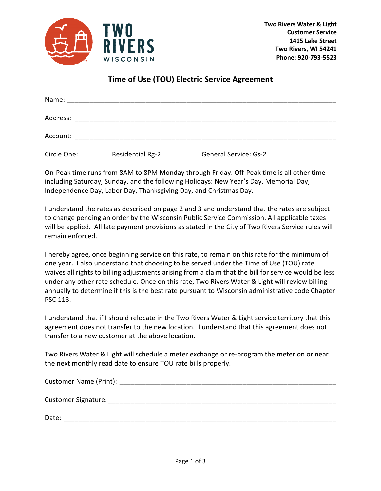

## **Time of Use (TOU) Electric Service Agreement**

| Name:       |                                                           |                              |  |
|-------------|-----------------------------------------------------------|------------------------------|--|
| Address:    |                                                           |                              |  |
| Account:    | <u> 1980 - John Stone, Amerikaansk politiker († 1908)</u> |                              |  |
| Circle One: | <b>Residential Rg-2</b>                                   | <b>General Service: Gs-2</b> |  |

On-Peak time runs from 8AM to 8PM Monday through Friday. Off-Peak time is all other time including Saturday, Sunday, and the following Holidays: New Year's Day, Memorial Day, Independence Day, Labor Day, Thanksgiving Day, and Christmas Day.

I understand the rates as described on page 2 and 3 and understand that the rates are subject to change pending an order by the Wisconsin Public Service Commission. All applicable taxes will be applied. All late payment provisions as stated in the City of Two Rivers Service rules will remain enforced.

I hereby agree, once beginning service on this rate, to remain on this rate for the minimum of one year. I also understand that choosing to be served under the Time of Use (TOU) rate waives all rights to billing adjustments arising from a claim that the bill for service would be less under any other rate schedule. Once on this rate, Two Rivers Water & Light will review billing annually to determine if this is the best rate pursuant to Wisconsin administrative code Chapter PSC 113.

I understand that if I should relocate in the Two Rivers Water & Light service territory that this agreement does not transfer to the new location. I understand that this agreement does not transfer to a new customer at the above location.

Two Rivers Water & Light will schedule a meter exchange or re-program the meter on or near the next monthly read date to ensure TOU rate bills properly.

| Customer Name (Print):     |
|----------------------------|
| <b>Customer Signature:</b> |
| Date:                      |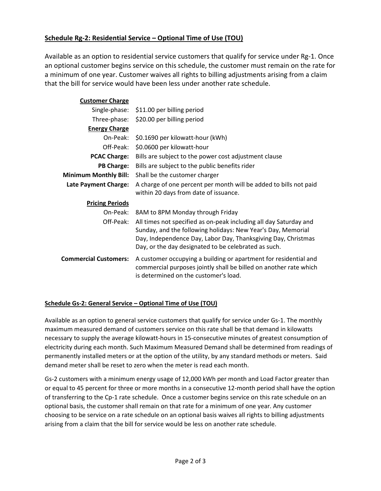## **Schedule Rg-2: Residential Service – Optional Time of Use (TOU)**

Available as an option to residential service customers that qualify for service under Rg-1. Once an optional customer begins service on this schedule, the customer must remain on the rate for a minimum of one year. Customer waives all rights to billing adjustments arising from a claim that the bill for service would have been less under another rate schedule.

| <b>Customer Charge</b>       |                                                                                                                                                                                                                                                            |
|------------------------------|------------------------------------------------------------------------------------------------------------------------------------------------------------------------------------------------------------------------------------------------------------|
|                              | Single-phase: \$11.00 per billing period                                                                                                                                                                                                                   |
| Three-phase:                 | \$20.00 per billing period                                                                                                                                                                                                                                 |
| <b>Energy Charge</b>         |                                                                                                                                                                                                                                                            |
| On-Peak:                     | \$0.1690 per kilowatt-hour (kWh)                                                                                                                                                                                                                           |
| Off-Peak:                    | \$0.0600 per kilowatt-hour                                                                                                                                                                                                                                 |
| <b>PCAC Charge:</b>          | Bills are subject to the power cost adjustment clause                                                                                                                                                                                                      |
| <b>PB Charge:</b>            | Bills are subject to the public benefits rider                                                                                                                                                                                                             |
| <b>Minimum Monthly Bill:</b> | Shall be the customer charger                                                                                                                                                                                                                              |
| Late Payment Charge:         | A charge of one percent per month will be added to bills not paid                                                                                                                                                                                          |
|                              | within 20 days from date of issuance.                                                                                                                                                                                                                      |
| <b>Pricing Periods</b>       |                                                                                                                                                                                                                                                            |
| On-Peak:                     | 8AM to 8PM Monday through Friday                                                                                                                                                                                                                           |
| Off-Peak:                    | All times not specified as on-peak including all day Saturday and<br>Sunday, and the following holidays: New Year's Day, Memorial<br>Day, Independence Day, Labor Day, Thanksgiving Day, Christmas<br>Day, or the day designated to be celebrated as such. |
| <b>Commercial Customers:</b> | A customer occupying a building or apartment for residential and<br>commercial purposes jointly shall be billed on another rate which<br>is determined on the customer's load.                                                                             |

## **Schedule Gs-2: General Service – Optional Time of Use (TOU)**

Available as an option to general service customers that qualify for service under Gs-1. The monthly maximum measured demand of customers service on this rate shall be that demand in kilowatts necessary to supply the average kilowatt-hours in 15-consecutive minutes of greatest consumption of electricity during each month. Such Maximum Measured Demand shall be determined from readings of permanently installed meters or at the option of the utility, by any standard methods or meters. Said demand meter shall be reset to zero when the meter is read each month.

Gs-2 customers with a minimum energy usage of 12,000 kWh per month and Load Factor greater than or equal to 45 percent for three or more months in a consecutive 12-month period shall have the option of transferring to the Cp-1 rate schedule. Once a customer begins service on this rate schedule on an optional basis, the customer shall remain on that rate for a minimum of one year. Any customer choosing to be service on a rate schedule on an optional basis waives all rights to billing adjustments arising from a claim that the bill for service would be less on another rate schedule.